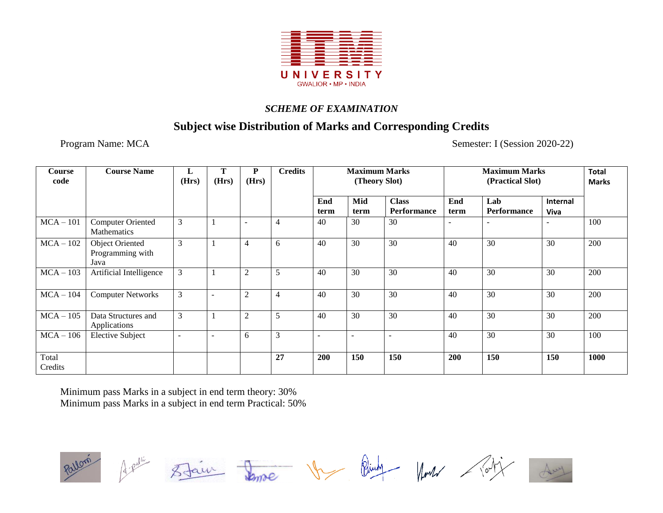

## **Subject wise Distribution of Marks and Corresponding Credits**

Program Name: MCA Semester: I (Session 2020-22)

| Course<br>code   | <b>Course Name</b>                                 | L<br>(Hrs)               | Т<br>(Hrs)               | P<br>(Hrs)               | <b>Credits</b> | <b>Maximum Marks</b><br>(Theory Slot) |                          |                             |             | <b>Maximum Marks</b><br>(Practical Slot) | <b>Total</b><br><b>Marks</b> |      |
|------------------|----------------------------------------------------|--------------------------|--------------------------|--------------------------|----------------|---------------------------------------|--------------------------|-----------------------------|-------------|------------------------------------------|------------------------------|------|
|                  |                                                    |                          |                          |                          |                | End<br>term                           | Mid<br>term              | <b>Class</b><br>Performance | End<br>term | Lab<br>Performance                       | Internal<br>Viva             |      |
| $MCA - 101$      | <b>Computer Oriented</b><br>Mathematics            | 3                        |                          | $\overline{\phantom{a}}$ | $\overline{4}$ | 40                                    | 30                       | 30                          |             |                                          |                              | 100  |
| $MCA-102$        | <b>Object Oriented</b><br>Programming with<br>Java | 3                        |                          | $\overline{4}$           | 6              | 40                                    | 30                       | 30                          | 40          | 30                                       | 30                           | 200  |
| $MCA-103$        | Artificial Intelligence                            | 3                        |                          | 2                        | 5              | 40                                    | 30                       | 30                          | 40          | 30                                       | 30                           | 200  |
| $MCA-104$        | <b>Computer Networks</b>                           | 3                        | $\overline{\phantom{a}}$ | $\overline{2}$           | $\overline{4}$ | 40                                    | 30                       | 30                          | 40          | 30                                       | 30                           | 200  |
| $MCA-105$        | Data Structures and<br>Applications                | 3                        |                          | $\overline{2}$           | 5              | 40                                    | 30                       | 30                          | 40          | 30                                       | 30                           | 200  |
| $MCA-106$        | <b>Elective Subject</b>                            | $\overline{\phantom{0}}$ | $\overline{\phantom{0}}$ | 6                        | 3              |                                       | $\overline{\phantom{a}}$ |                             | 40          | 30                                       | 30                           | 100  |
| Total<br>Credits |                                                    |                          |                          |                          | 27             | <b>200</b>                            | 150                      | 150                         | 200         | 150                                      | 150                          | 1000 |

Minimum pass Marks in a subject in end term theory: 30% Minimum pass Marks in a subject in end term Practical: 50%

Very Bing Month / Pot Staur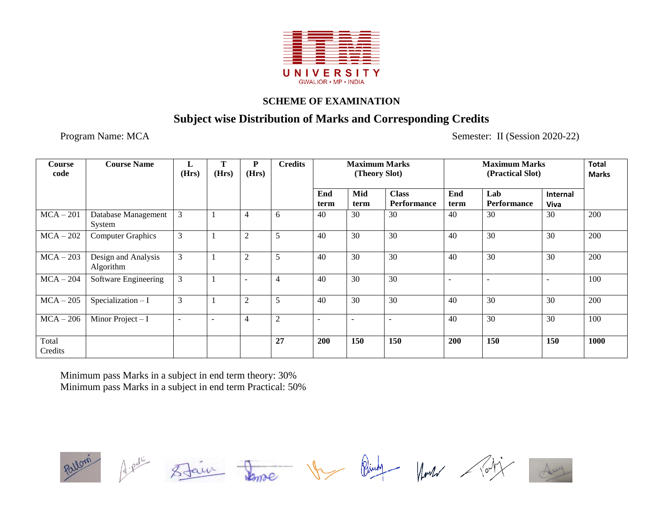

# **Subject wise Distribution of Marks and Corresponding Credits**

Program Name: MCA Semester: II (Session 2020-22)

| <b>Course</b><br>code | <b>Course Name</b>               | L<br>(Hrs)               | (Hrs) | P<br>(Hrs)     | <b>Credits</b> | <b>Maximum Marks</b><br>(Theory Slot) |             |                                    |             | <b>Total</b><br><b>Marks</b> |                                |      |
|-----------------------|----------------------------------|--------------------------|-------|----------------|----------------|---------------------------------------|-------------|------------------------------------|-------------|------------------------------|--------------------------------|------|
|                       |                                  |                          |       |                |                | End<br>term                           | Mid<br>term | <b>Class</b><br><b>Performance</b> | End<br>term | Lab<br>Performance           | <b>Internal</b><br><b>Viva</b> |      |
| $MCA - 201$           | Database Management<br>System    | 3                        |       | $\overline{4}$ | 6              | 40                                    | 30          | 30                                 | 40          | 30                           | 30                             | 200  |
| $MCA - 202$           | <b>Computer Graphics</b>         | 3                        |       | 2              | 5              | 40                                    | 30          | 30                                 | 40          | 30                           | 30                             | 200  |
| $MCA - 203$           | Design and Analysis<br>Algorithm | 3                        |       | $\overline{2}$ | 5              | 40                                    | 30          | 30                                 | 40          | 30                           | 30                             | 200  |
| $MCA - 204$           | Software Engineering             | 3                        |       | ٠              | $\overline{4}$ | 40                                    | 30          | 30                                 | ٠           |                              |                                | 100  |
| $MCA - 205$           | $Specialization-I$               | 3                        |       | $\overline{2}$ | 5              | 40                                    | 30          | 30                                 | 40          | 30                           | 30                             | 200  |
| $MCA - 206$           | Minor Project $-I$               | $\overline{\phantom{a}}$ |       | 4              | $\mathbf{2}$   |                                       |             |                                    | 40          | 30                           | 30                             | 100  |
| Total<br>Credits      |                                  |                          |       |                | 27             | 200                                   | 150         | 150                                | 200         | 150                          | 150                            | 1000 |

Minimum pass Marks in a subject in end term theory: 30% Minimum pass Marks in a subject in end term Practical: 50%



Jemme Vr Bing Month / Por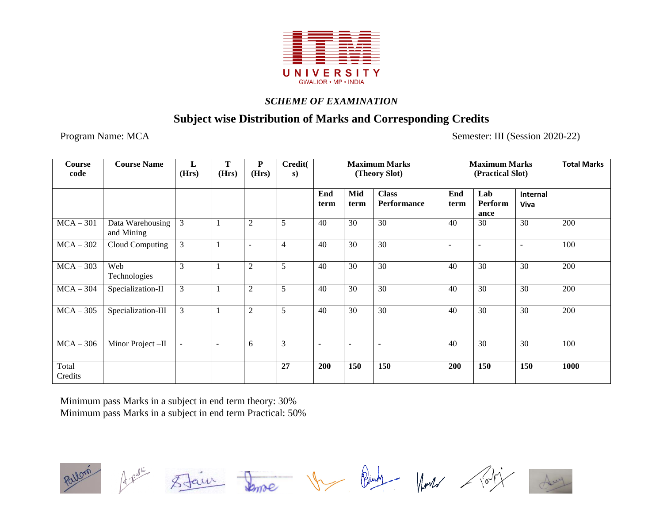

# **Subject wise Distribution of Marks and Corresponding Credits**

Program Name: MCA Semester: III (Session 2020-22)

| <b>Course</b><br>code | <b>Course Name</b>             | L<br>(Hrs)               | T<br>(Hrs)               | P<br>(Hrs)               | Credit(<br>s) | <b>Maximum Marks</b><br>(Theory Slot) |             |                             | <b>Maximum Marks</b> | <b>Total Marks</b>     |                                |      |
|-----------------------|--------------------------------|--------------------------|--------------------------|--------------------------|---------------|---------------------------------------|-------------|-----------------------------|----------------------|------------------------|--------------------------------|------|
|                       |                                |                          |                          |                          |               | End<br>term                           | Mid<br>term | <b>Class</b><br>Performance | End<br>term          | Lab<br>Perform<br>ance | <b>Internal</b><br><b>Viva</b> |      |
| $MCA - 301$           | Data Warehousing<br>and Mining | 3                        | ı                        | $\overline{2}$           | 5             | 40                                    | 30          | 30                          | 40                   | 30                     | 30                             | 200  |
| $MCA-302$             | Cloud Computing                | 3                        | -1                       | $\overline{\phantom{a}}$ | 4             | 40                                    | 30          | 30                          | $\blacksquare$       | $\sim$                 | $\overline{\phantom{a}}$       | 100  |
| $MCA - 303$           | Web<br>Technologies            | 3                        | 1                        | $\overline{2}$           | 5             | 40                                    | 30          | 30                          | 40                   | 30                     | 30                             | 200  |
| $MCA - 304$           | Specialization-II              | $\mathfrak{Z}$           | 1                        | $\overline{2}$           | 5             | 40                                    | 30          | 30                          | 40                   | 30                     | 30                             | 200  |
| $MCA - 305$           | Specialization-III             | $\mathfrak{Z}$           | 1                        | $\mathfrak{2}$           | 5             | 40                                    | 30          | 30                          | 40                   | 30                     | 30                             | 200  |
| $MCA - 306$           | Minor Project-II               | $\overline{\phantom{a}}$ | $\overline{\phantom{a}}$ | 6                        | 3             |                                       |             |                             | 40                   | 30                     | 30                             | 100  |
| Total<br>Credits      |                                |                          |                          |                          | 27            | 200                                   | 150         | 150                         | 200                  | 150                    | 150                            | 1000 |

Minimum pass Marks in a subject in end term theory: 30% Minimum pass Marks in a subject in end term Practical: 50%